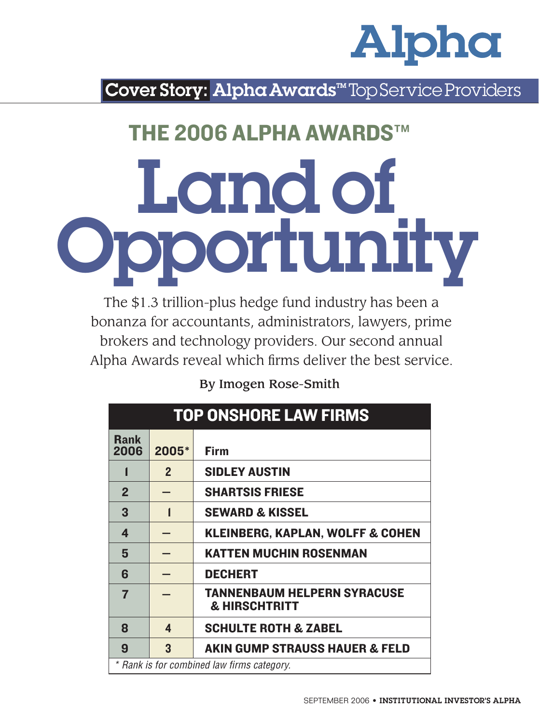

Cover Story: Alpha Awards<sup>™</sup> Top Service Providers

## THE 2006 ALPHA AWARDS™

# Landof Opportunity

The \$1.3 trillion-plus hedge fund industry has been a bonanza for accountants, administrators, lawyers, prime brokers and technology providers. Our second annual Alpha Awards reveal which firms deliver the best service.

#### By Imogen Rose-Smith

| <b>TOP ONSHORE LAW FIRMS</b>               |              |                                                                |  |  |  |
|--------------------------------------------|--------------|----------------------------------------------------------------|--|--|--|
| <b>Rank</b><br>2006                        | 2005*        | <b>Firm</b>                                                    |  |  |  |
|                                            | $\mathbf{2}$ | <b>SIDLEY AUSTIN</b>                                           |  |  |  |
| $\overline{2}$                             |              | <b>SHARTSIS FRIESE</b>                                         |  |  |  |
| 3                                          | 1            | <b>SEWARD &amp; KISSEL</b>                                     |  |  |  |
| 4                                          |              | <b>KLEINBERG, KAPLAN, WOLFF &amp; COHEN</b>                    |  |  |  |
| 5                                          |              | <b>KATTEN MUCHIN ROSENMAN</b>                                  |  |  |  |
| 6                                          |              | <b>DECHERT</b>                                                 |  |  |  |
| $\overline{7}$                             |              | <b>TANNENBAUM HELPERN SYRACUSE</b><br><b>&amp; HIRSCHTRITT</b> |  |  |  |
| 8                                          | 4            | <b>SCHULTE ROTH &amp; ZABEL</b>                                |  |  |  |
| 9                                          | 3            | <b>AKIN GUMP STRAUSS HAUER &amp; FELD</b>                      |  |  |  |
| * Rank is for combined law firms category. |              |                                                                |  |  |  |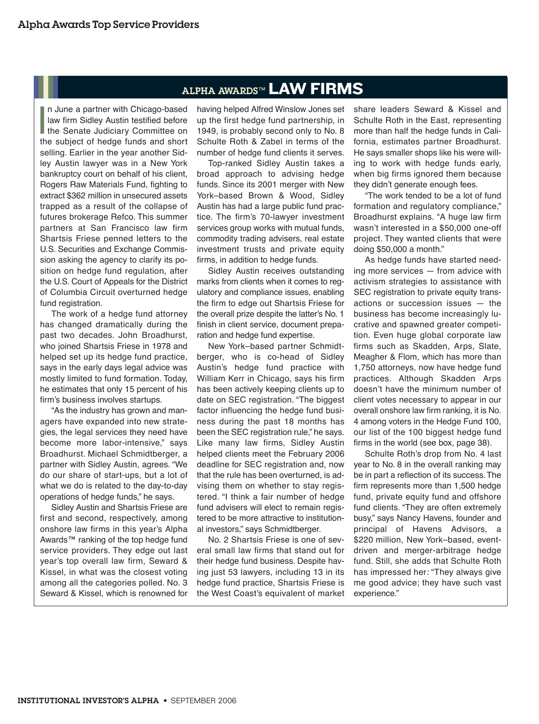### ALPHA AWARDS™ LAW FIRMS

In June a partner with Chicago-based<br>law firm Sidley Austin testified before<br>the Senate Judiciary Committee on<br>the subject of hedge funds and short n June a partner with Chicago-based law firm Sidley Austin testified before the Senate Judiciary Committee on selling. Earlier in the year another Sidley Austin lawyer was in a New York bankruptcy court on behalf of his client, Rogers Raw Materials Fund, fighting to extract \$362 million in unsecured assets trapped as a result of the collapse of futures brokerage Refco. This summer partners at San Francisco law firm Shartsis Friese penned letters to the U.S. Securities and Exchange Commission asking the agency to clarify its position on hedge fund regulation, after the U.S. Court of Appeals for the District of Columbia Circuit overturned hedge fund registration.

The work of a hedge fund attorney has changed dramatically during the past two decades. John Broadhurst, who joined Shartsis Friese in 1978 and helped set up its hedge fund practice, says in the early days legal advice was mostly limited to fund formation. Today, he estimates that only 15 percent of his firm's business involves startups.

"As the industry has grown and managers have expanded into new strategies, the legal services they need have become more labor-intensive," says Broadhurst. Michael Schmidtberger, a partner with Sidley Austin, agrees. "We do our share of start-ups, but a lot of what we do is related to the day-to-day operations of hedge funds," he says.

Sidley Austin and Shartsis Friese are first and second, respectively, among onshore law firms in this year's Alpha Awards™ ranking of the top hedge fund service providers. They edge out last year's top overall law firm, Seward & Kissel, in what was the closest voting among all the categories polled. No. 3 Seward & Kissel, which is renowned for having helped Alfred Winslow Jones set up the first hedge fund partnership, in 1949, is probably second only to No. 8 Schulte Roth & Zabel in terms of the number of hedge fund clients it serves.

Top-ranked Sidley Austin takes a broad approach to advising hedge funds. Since its 2001 merger with New York–based Brown & Wood, Sidley Austin has had a large public fund practice. The firm's 70-lawyer investment services group works with mutual funds, commodity trading advisers, real estate investment trusts and private equity firms, in addition to hedge funds.

Sidley Austin receives outstanding marks from clients when it comes to regulatory and compliance issues, enabling the firm to edge out Shartsis Friese for the overall prize despite the latter's No. 1 finish in client service, document preparation and hedge fund expertise.

New York–based partner Schmidtberger, who is co-head of Sidley Austin's hedge fund practice with William Kerr in Chicago, says his firm has been actively keeping clients up to date on SEC registration. "The biggest factor influencing the hedge fund business during the past 18 months has been the SEC registration rule," he says. Like many law firms, Sidley Austin helped clients meet the February 2006 deadline for SEC registration and, now that the rule has been overturned, is advising them on whether to stay registered. "I think a fair number of hedge fund advisers will elect to remain registered to be more attractive to institutional investors," says Schmidtberger.

No. 2 Shartsis Friese is one of several small law firms that stand out for their hedge fund business. Despite having just 53 lawyers, including 13 in its hedge fund practice, Shartsis Friese is the West Coast's equivalent of market share leaders Seward & Kissel and Schulte Roth in the East, representing more than half the hedge funds in California, estimates partner Broadhurst. He says smaller shops like his were willing to work with hedge funds early, when big firms ignored them because they didn't generate enough fees.

"The work tended to be a lot of fund formation and regulatory compliance," Broadhurst explains. "A huge law firm wasn't interested in a \$50,000 one-off project. They wanted clients that were doing \$50,000 a month."

As hedge funds have started needing more services — from advice with activism strategies to assistance with SEC registration to private equity transactions or succession issues — the business has become increasingly lucrative and spawned greater competition. Even huge global corporate law firms such as Skadden, Arps, Slate, Meagher & Flom, which has more than 1,750 attorneys, now have hedge fund practices. Although Skadden Arps doesn't have the minimum number of client votes necessary to appear in our overall onshore law firm ranking, it is No. 4 among voters in the Hedge Fund 100, our list of the 100 biggest hedge fund firms in the world (see box, page 38).

Schulte Roth's drop from No. 4 last year to No. 8 in the overall ranking may be in part a reflection of its success.The firm represents more than 1,500 hedge fund, private equity fund and offshore fund clients. "They are often extremely busy," says Nancy Havens, founder and principal of Havens Advisors, a \$220 million, New York–based, eventdriven and merger-arbitrage hedge fund. Still, she adds that Schulte Roth has impressed her: "They always give me good advice; they have such vast experience."